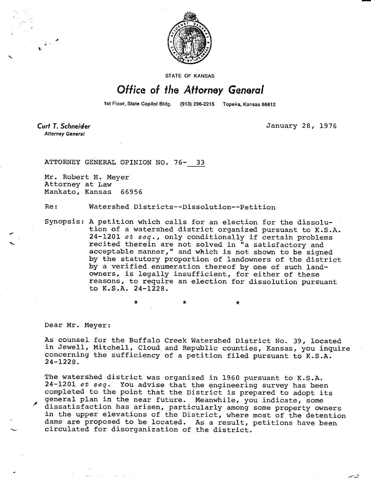

STATE OF KANSAS

## Office of the Attorney General

1st Floor, State Capitol Bldg. (913) 296-2215 Topeka, Kansas 66612

**Attorney General** 

**Cud T. Schneider** January 28, 1976

ATTORNEY GENERAL OPINION NO. 76- 33

Mr. Robert H. Meyer Attorney at Law Mankato, Kansas 66956

Re: Watershed Districts--Dissolution--Petition

Synopsis: A petition which calls for an election for the dissolution of a watershed district organized pursuant to K.S.A. 24-1201 et seq., only conditionally if certain problems recited therein are not solved in "a satisfactory and acceptable manner," and which is not shown to be signed by the statutory proportion of landowners of the district by a verified enumeration thereof by one of such landowners, is legally insufficient, for either of these reasons, to require an election for dissolution pursuant to  $K.S.A. 24-1228.$ 

\*

Dear Mr. Meyer:

As counsel for the Buffalo Creek Watershed District No. 39, located in Jewell, Mitchell, Cloud and Republic counties, Kansas, you inquire concerning the sufficiency of a petition filed pursuant to K.S.A. 24-1228.

The watershed district was organized in 1960 pursuant to K.S.A. 24-1201 et seq. You advise that the engineering survey has been completed to the point that the District is prepared to adopt its general plan in the near future. Meanwhile, you indicate, some dissatisfaction has arisen, particularly among some property owners in the upper elevations of the District, where most of the detention dams are proposed to be located. As a result, petitions have been circulated for disorganization of the district.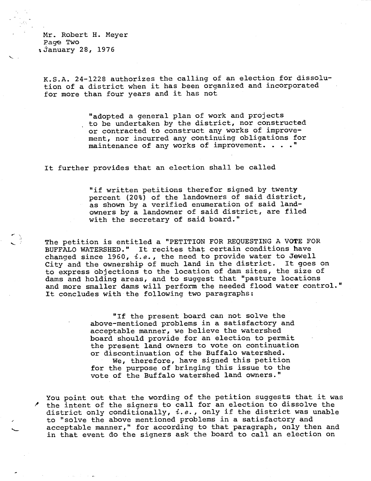Mr. Robert H. Meyer Page Two *i* January 28, 1976

K.S.A. 24-1228 authorizes the calling of an election for dissolution of a district when it has been organized and incorporated for more than four years and it has not

> "adopted a general plan of work and projects to be undertaken by the district, nor constructed or contracted to construct any works of improvement, nor incurred any continuing obligations for maintenance of any works of improvement. . . . "

It further provides that an election shall be called

"if written petitions therefor signed by twenty percent (20%) of the landowners of said district, as shown by a verified enumeration of said landowners by a landowner of said district, are filed with the secretary of said board."

The petition is entitled a "PETITION FOR REQUESTING A VOTE FOR BUFFALO WATERSHED." It recites that certain conditions have changed since 1960,  $i.e.,$  the need to provide water to Jewell City and the ownership of much land in the district. It goes on to express objections to the location of dam sites, the size of dams and holding areas, and to suggest that "pasture locations and more smaller dams will perform the needed flood water control." It concludes with the following two paragraphs:

> "If the present board can not solve the above-mentioned problems in a satisfactory and acceptable manner, we believe the watershed board should provide for an election to permit the present land owners to vote on continuation or discontinuation of the Buffalo watershed. We, therefore, have signed this petition for the purpose of bringing this issue to the vote of the Buffalo watershed land owners."

You point out that the wording of the petition suggests that it was the intent of the signers to call for an election to dissolve the district only conditionally, *i.e.*, only if the district was unable to "solve the above mentioned problems in a satisfactory and acceptable manner," for according to that paragraph, only then and in that event do the signers ask the board to call an election on